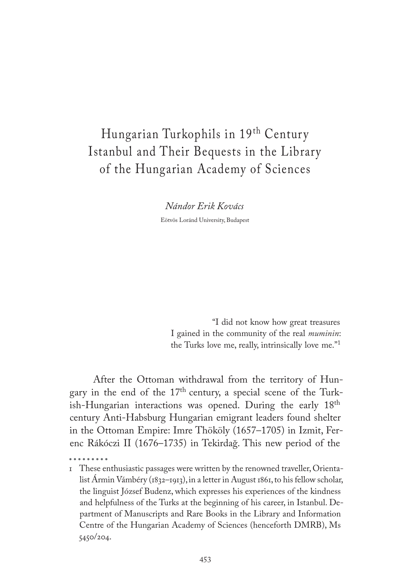# Hungarian Turkophils in 19th Century Istanbul and Their Bequests in the Library of the Hungarian Academy of Sciences

*Nándor Erik Kovács*

Eötvös Loránd University, Budapest

"I did not know how great treasures I gained in the community of the real *muminin*: the Turks love me, really, intrinsically love me."<sup>1</sup>

After the Ottoman withdrawal from the territory of Hungary in the end of the 17th century, a special scene of the Turkish-Hungarian interactions was opened. During the early 18th century Anti-Habsburg Hungarian emigrant leaders found shelter in the Ottoman Empire: Imre Thököly (1657–1705) in Izmit, Ferenc Rákóczi II (1676–1735) in Tekirdağ. This new period of the

<sup>1</sup> These enthusiastic passages were written by the renowned traveller, Orientalist Ármin Vámbéry (1832–1913), in a letter in August 1861, to his fellow scholar, the linguist József Budenz, which expresses his experiences of the kindness and helpfulness of the Turks at the beginning of his career, in Istanbul. Department of Manuscripts and Rare Books in the Library and Information Centre of the Hungarian Academy of Sciences (henceforth DMRB), Ms 5450/204.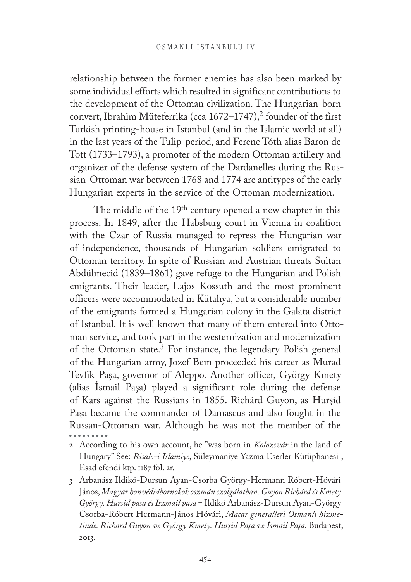relationship between the former enemies has also been marked by some individual efforts which resulted in significant contributions to the development of the Ottoman civilization. The Hungarian-born convert, Ibrahim Müteferrika (cca  $1672-1747$ ),<sup>2</sup> founder of the first Turkish printing-house in Istanbul (and in the Islamic world at all) in the last years of the Tulip-period, and Ferenc Tóth alias Baron de Tott (1733–1793), a promoter of the modern Ottoman artillery and organizer of the defense system of the Dardanelles during the Russian-Ottoman war between 1768 and 1774 are antitypes of the early Hungarian experts in the service of the Ottoman modernization.

The middle of the 19<sup>th</sup> century opened a new chapter in this process. In 1849, after the Habsburg court in Vienna in coalition with the Czar of Russia managed to repress the Hungarian war of independence, thousands of Hungarian soldiers emigrated to Ottoman territory. In spite of Russian and Austrian threats Sultan Abdülmecid (1839–1861) gave refuge to the Hungarian and Polish emigrants. Their leader, Lajos Kossuth and the most prominent officers were accommodated in Kütahya, but a considerable number of the emigrants formed a Hungarian colony in the Galata district of Istanbul. It is well known that many of them entered into Ottoman service, and took part in the westernization and modernization of the Ottoman state.3 For instance, the legendary Polish general of the Hungarian army, Jozef Bem proceeded his career as Murad Tevfik Paşa, governor of Aleppo. Another officer, György Kmety (alias İsmail Paşa) played a significant role during the defense of Kars against the Russians in 1855. Richárd Guyon, as Hurşid Paşa became the commander of Damascus and also fought in the Russan-Ottoman war. Although he was not the member of the

- 2 According to his own account, he "was born in *Kolozsvár* in the land of Hungary" See: *Risale-i Islamiye*, Süleymaniye Yazma Eserler Kütüphanesi , Esad efendi ktp. 1187 fol. 2r.
- 3 Arbanász Ildikó-Dursun Ayan-Csorba György-Hermann Róbert-Hóvári János, *Magyar honvédtábornokok oszmán szolgálatban. Guyon Richárd és Kmety György. Hursid pasa és Iszmail pasa* = Ildikó Arbanász-Dursun Ayan-György Csorba-Róbert Hermann-János Hóvári, *Macar generalleri Osmanlı hizmetinde. Richard Guyon ve György Kmety. Hurşid Paşa ve İsmail Paşa*. Budapest, 2013.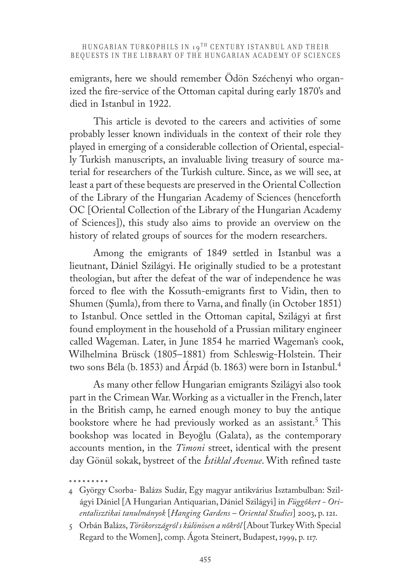emigrants, here we should remember Ödön Széchenyi who organized the fire-service of the Ottoman capital during early 1870's and died in Istanbul in 1922.

This article is devoted to the careers and activities of some probably lesser known individuals in the context of their role they played in emerging of a considerable collection of Oriental, especially Turkish manuscripts, an invaluable living treasury of source material for researchers of the Turkish culture. Since, as we will see, at least a part of these bequests are preserved in the Oriental Collection of the Library of the Hungarian Academy of Sciences (henceforth OC [Oriental Collection of the Library of the Hungarian Academy of Sciences]), this study also aims to provide an overview on the history of related groups of sources for the modern researchers.

Among the emigrants of 1849 settled in Istanbul was a lieutnant, Dániel Szilágyi. He originally studied to be a protestant theologian, but after the defeat of the war of independence he was forced to flee with the Kossuth-emigrants first to Vidin, then to Shumen (Şumla), from there to Varna, and finally (in October 1851) to Istanbul. Once settled in the Ottoman capital, Szilágyi at first found employment in the household of a Prussian military engineer called Wageman. Later, in June 1854 he married Wageman's cook, Wilhelmina Brüsck (1805–1881) from Schleswig-Holstein. Their two sons Béla (b. 1853) and Árpád (b. 1863) were born in Istanbul.4

As many other fellow Hungarian emigrants Szilágyi also took part in the Crimean War. Working as a victualler in the French, later in the British camp, he earned enough money to buy the antique bookstore where he had previously worked as an assistant.<sup>5</sup> This bookshop was located in Beyoğlu (Galata), as the contemporary accounts mention, in the *Timoni* street, identical with the present day Gönül sokak, bystreet of the *İstiklal Avenue*. With refined taste

<sup>4</sup> György Csorba- Balázs Sudár, Egy magyar antikvárius Isztambulban: Szilágyi Dániel [A Hungarian Antiquarian, Dániel Szilágyi] in *Függőkert - Orientalisztikai tanulmányok* [*Hanging Gardens – Oriental Studies*] 2003, p. 121.

<sup>5</sup> Orbán Balázs, *Törökországról s különösen a nőkről* [About Turkey With Special Regard to the Women], comp. Ágota Steinert, Budapest, 1999, p. 117.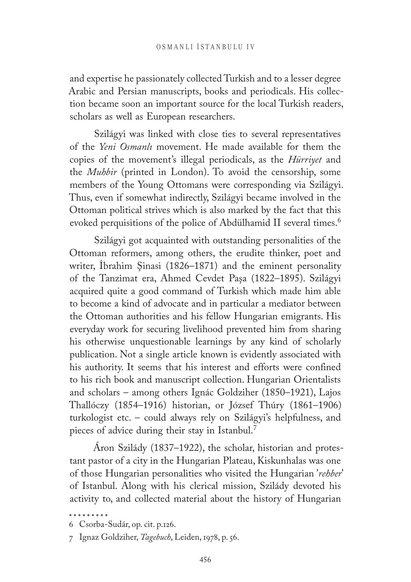and expertise he passionately collected Turkish and to a lesser degree Arabic and Persian manuscripts, books and periodicals. His collection became soon an important source for the local Turkish readers, scholars as well as European researchers.

Szilágyi was linked with close ties to several representatives of the *Yeni Osmanlı* movement. He made available for them the copies of the movement's illegal periodicals, as the *Hürriyet* and the *Muhbir* (printed in London). To avoid the censorship, some members of the Young Ottomans were corresponding via Szilágyi. Thus, even if somewhat indirectly, Szilágyi became involved in the Ottoman political strives which is also marked by the fact that this evoked perquisitions of the police of Abdülhamid II several times.<sup>6</sup>

Szilágyi got acquainted with outstanding personalities of the Ottoman reformers, among others, the erudite thinker, poet and writer, İbrahim Şinasi (1826–1871) and the eminent personality of the Tanzimat era, Ahmed Cevdet Paşa (1822–1895). Szilágyi acquired quite a good command of Turkish which made him able to become a kind of advocate and in particular a mediator between the Ottoman authorities and his fellow Hungarian emigrants. His everyday work for securing livelihood prevented him from sharing his otherwise unquestionable learnings by any kind of scholarly publication. Not a single article known is evidently associated with his authority. It seems that his interest and efforts were confined to his rich book and manuscript collection. Hungarian Orientalists and scholars – among others Ignác Goldziher (1850–1921), Lajos Thallóczy (1854–1916) historian, or József Thúry (1861–1906) turkologist etc. – could always rely on Szilágyi's helpfulness, and pieces of advice during their stay in Istanbul.7

Áron Szilády (1837–1922), the scholar, historian and protestant pastor of a city in the Hungarian Plateau, Kiskunhalas was one of those Hungarian personalities who visited the Hungarian '*rehber*' of Istanbul. Along with his clerical mission, Szilády devoted his activity to, and collected material about the history of Hungarian

<sup>6</sup> Csorba-Sudár, op. cit. p.126.

<sup>7</sup> Ignaz Goldziher, *Tagebuch*, Leiden, 1978, p. 56.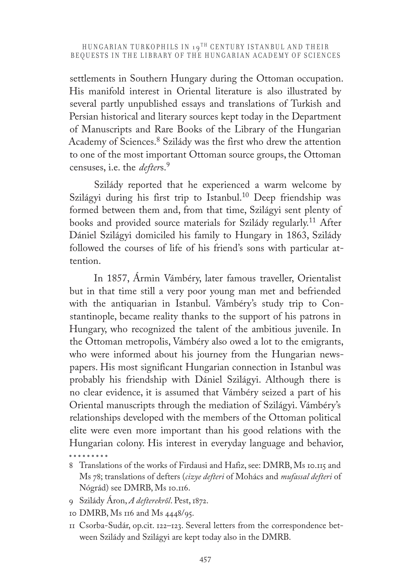settlements in Southern Hungary during the Ottoman occupation. His manifold interest in Oriental literature is also illustrated by several partly unpublished essays and translations of Turkish and Persian historical and literary sources kept today in the Department of Manuscripts and Rare Books of the Library of the Hungarian Academy of Sciences.8 Szilády was the first who drew the attention to one of the most important Ottoman source groups, the Ottoman censuses, i.e. the *defter*s.<sup>9</sup>

Szilády reported that he experienced a warm welcome by Szilágyi during his first trip to Istanbul.<sup>10</sup> Deep friendship was formed between them and, from that time, Szilágyi sent plenty of books and provided source materials for Szilády regularly.11 After Dániel Szilágyi domiciled his family to Hungary in 1863, Szilády followed the courses of life of his friend's sons with particular attention.

In 1857, Ármin Vámbéry, later famous traveller, Orientalist but in that time still a very poor young man met and befriended with the antiquarian in Istanbul. Vámbéry's study trip to Constantinople, became reality thanks to the support of his patrons in Hungary, who recognized the talent of the ambitious juvenile. In the Ottoman metropolis, Vámbéry also owed a lot to the emigrants, who were informed about his journey from the Hungarian newspapers. His most significant Hungarian connection in Istanbul was probably his friendship with Dániel Szilágyi. Although there is no clear evidence, it is assumed that Vámbéry seized a part of his Oriental manuscripts through the mediation of Szilágyi. Vámbéry's relationships developed with the members of the Ottoman political elite were even more important than his good relations with the Hungarian colony. His interest in everyday language and behavior,

- 9 Szilády Áron, *A defterekről*. Pest, 1872.
- 10 DMRB, Ms 116 and Ms 4448/95.
- 11 Csorba-Sudár, op.cit. 122–123. Several letters from the correspondence between Szilády and Szilágyi are kept today also in the DMRB.

<sup>8</sup> Translations of the works of Firdausi and Hafiz, see: DMRB, Ms 10.115 and Ms 78; translations of defters (*cizye defteri* of Mohács and *mufassal defteri* of Nógrád) see DMRB, Ms 10.116.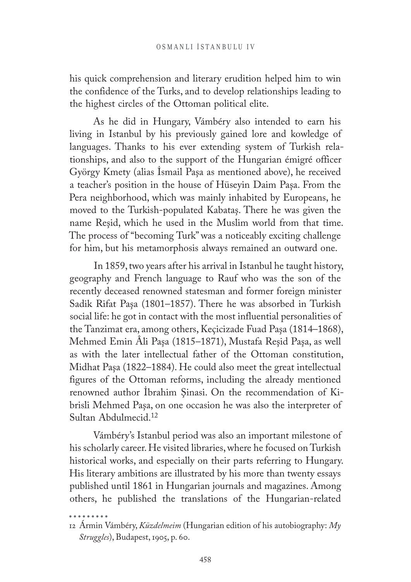his quick comprehension and literary erudition helped him to win the confidence of the Turks, and to develop relationships leading to the highest circles of the Ottoman political elite.

As he did in Hungary, Vámbéry also intended to earn his living in Istanbul by his previously gained lore and kowledge of languages. Thanks to his ever extending system of Turkish relationships, and also to the support of the Hungarian émigré officer György Kmety (alias İsmail Paşa as mentioned above), he received a teacher's position in the house of Hüseyin Daim Paşa. From the Pera neighborhood, which was mainly inhabited by Europeans, he moved to the Turkish-populated Kabataş. There he was given the name Reşid, which he used in the Muslim world from that time. The process of "becoming Turk" was a noticeably exciting challenge for him, but his metamorphosis always remained an outward one.

In 1859, two years after his arrival in Istanbul he taught history, geography and French language to Rauf who was the son of the recently deceased renowned statesman and former foreign minister Sadik Rifat Paşa (1801–1857). There he was absorbed in Turkish social life: he got in contact with the most influential personalities of the Tanzimat era, among others, Keçicizade Fuad Paşa (1814–1868), Mehmed Emin Âli Paşa (1815–1871), Mustafa Reşid Paşa, as well as with the later intellectual father of the Ottoman constitution, Midhat Paşa (1822–1884). He could also meet the great intellectual figures of the Ottoman reforms, including the already mentioned renowned author İbrahim Şinasi. On the recommendation of Kibrisli Mehmed Paşa, on one occasion he was also the interpreter of Sultan Abdulmecid.12

Vámbéry's Istanbul period was also an important milestone of his scholarly career. He visited libraries, where he focused on Turkish historical works, and especially on their parts referring to Hungary. His literary ambitions are illustrated by his more than twenty essays published until 1861 in Hungarian journals and magazines. Among others, he published the translations of the Hungarian-related

. . . . . . . . .

<sup>12</sup> Ármin Vámbéry, *Küzdelmeim* (Hungarian edition of his autobiography: *My Struggles*), Budapest, 1905, p. 60.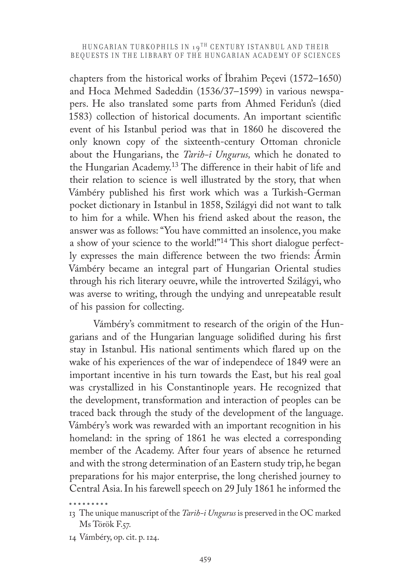chapters from the historical works of İbrahim Peçevi (1572–1650) and Hoca Mehmed Sadeddin (1536/37–1599) in various newspapers. He also translated some parts from Ahmed Feridun's (died 1583) collection of historical documents. An important scientific event of his Istanbul period was that in 1860 he discovered the only known copy of the sixteenth-century Ottoman chronicle about the Hungarians, the *Tarih-i Ungurus,* which he donated to the Hungarian Academy.13 The difference in their habit of life and their relation to science is well illustrated by the story, that when Vámbéry published his first work which was a Turkish-German pocket dictionary in Istanbul in 1858, Szilágyi did not want to talk to him for a while. When his friend asked about the reason, the answer was as follows: "You have committed an insolence, you make a show of your science to the world!"14 This short dialogue perfectly expresses the main difference between the two friends: Ármin Vámbéry became an integral part of Hungarian Oriental studies through his rich literary oeuvre, while the introverted Szilágyi, who was averse to writing, through the undying and unrepeatable result of his passion for collecting.

Vámbéry's commitment to research of the origin of the Hungarians and of the Hungarian language solidified during his first stay in Istanbul. His national sentiments which flared up on the wake of his experiences of the war of independece of 1849 were an important incentive in his turn towards the East, but his real goal was crystallized in his Constantinople years. He recognized that the development, transformation and interaction of peoples can be traced back through the study of the development of the language. Vámbéry's work was rewarded with an important recognition in his homeland: in the spring of 1861 he was elected a corresponding member of the Academy. After four years of absence he returned and with the strong determination of an Eastern study trip, he began preparations for his major enterprise, the long cherished journey to Central Asia. In his farewell speech on 29 July 1861 he informed the

<sup>13</sup> The unique manuscript of the *Tarih-i Ungurus* is preserved in the OC marked Ms Török F.57.

<sup>14</sup> Vámbéry, op. cit. p. 124.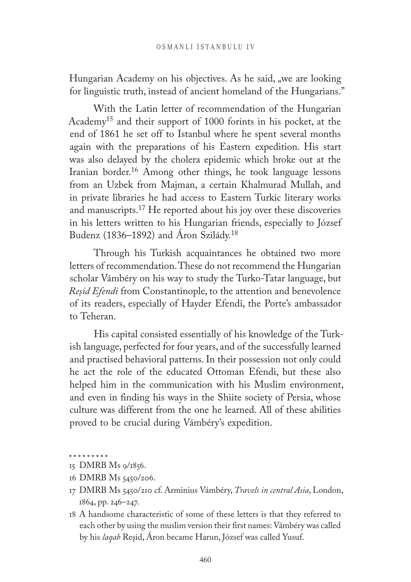Hungarian Academy on his objectives. As he said, we are looking for linguistic truth, instead of ancient homeland of the Hungarians."

With the Latin letter of recommendation of the Hungarian Academy15 and their support of 1000 forints in his pocket, at the end of 1861 he set off to Istanbul where he spent several months again with the preparations of his Eastern expedition. His start was also delayed by the cholera epidemic which broke out at the Iranian border.16 Among other things, he took language lessons from an Uzbek from Majman, a certain Khalmurad Mullah, and in private libraries he had access to Eastern Turkic literary works and manuscripts.17 He reported about his joy over these discoveries in his letters written to his Hungarian friends, especially to József Budenz (1836–1892) and Áron Szilády.18

Through his Turkish acquaintances he obtained two more letters of recommendation. These do not recommend the Hungarian scholar Vámbéry on his way to study the Turko-Tatar language, but *Reşid Efendi* from Constantinople, to the attention and benevolence of its readers, especially of Hayder Efendi, the Porte's ambassador to Teheran.

His capital consisted essentially of his knowledge of the Turkish language, perfected for four years, and of the successfully learned and practised behavioral patterns. In their possession not only could he act the role of the educated Ottoman Efendi, but these also helped him in the communication with his Muslim environment, and even in finding his ways in the Shiite society of Persia, whose culture was different from the one he learned. All of these abilities proved to be crucial during Vámbéry's expedition.

. . . . . . . . .

<sup>15</sup> DMRB Ms 9/1856.

<sup>16</sup> DMRB Ms 5450/206.

<sup>17</sup> DMRB Ms 5450/210 cf. Arminius Vámbéry, *Travels in central Asia*, London, 1864, pp. 246–247.

<sup>18</sup> A handsome characteristic of some of these letters is that they referred to each other by using the muslim version their first names: Vámbéry was called by his *laqab* Reşid, Áron became Harun, József was called Yusuf.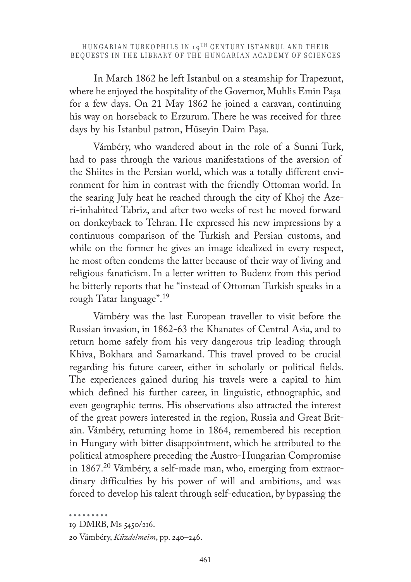In March 1862 he left Istanbul on a steamship for Trapezunt, where he enjoyed the hospitality of the Governor, Muhlis Emin Paşa for a few days. On 21 May 1862 he joined a caravan, continuing his way on horseback to Erzurum. There he was received for three days by his Istanbul patron, Hüseyin Daim Paşa.

Vámbéry, who wandered about in the role of a Sunni Turk, had to pass through the various manifestations of the aversion of the Shiites in the Persian world, which was a totally different environment for him in contrast with the friendly Ottoman world. In the searing July heat he reached through the city of Khoj the Azeri-inhabited Tabriz, and after two weeks of rest he moved forward on donkeyback to Tehran. He expressed his new impressions by a continuous comparison of the Turkish and Persian customs, and while on the former he gives an image idealized in every respect, he most often condems the latter because of their way of living and religious fanaticism. In a letter written to Budenz from this period he bitterly reports that he "instead of Ottoman Turkish speaks in a rough Tatar language".19

Vámbéry was the last European traveller to visit before the Russian invasion, in 1862-63 the Khanates of Central Asia, and to return home safely from his very dangerous trip leading through Khiva, Bokhara and Samarkand. This travel proved to be crucial regarding his future career, either in scholarly or political fields. The experiences gained during his travels were a capital to him which defined his further career, in linguistic, ethnographic, and even geographic terms. His observations also attracted the interest of the great powers interested in the region, Russia and Great Britain. Vámbéry, returning home in 1864, remembered his reception in Hungary with bitter disappointment, which he attributed to the political atmosphere preceding the Austro-Hungarian Compromise in 1867.20 Vámbéry, a self-made man, who, emerging from extraordinary difficulties by his power of will and ambitions, and was forced to develop his talent through self-education, by bypassing the

<sup>19</sup> DMRB, Ms 5450/216.

<sup>20</sup> Vámbéry, *Küzdelmeim*, pp. 240–246.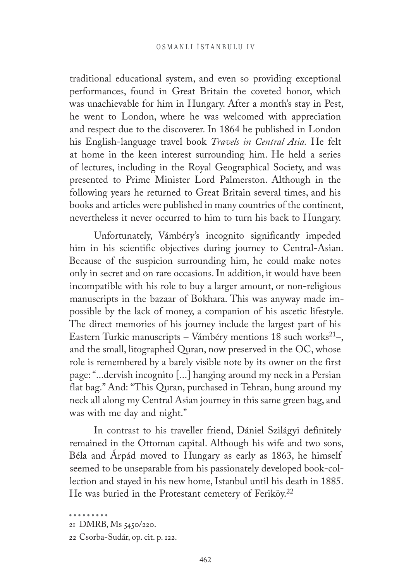traditional educational system, and even so providing exceptional performances, found in Great Britain the coveted honor, which was unachievable for him in Hungary. After a month's stay in Pest, he went to London, where he was welcomed with appreciation and respect due to the discoverer. In 1864 he published in London his English-language travel book *Travels in Central Asia.* He felt at home in the keen interest surrounding him. He held a series of lectures, including in the Royal Geographical Society, and was presented to Prime Minister Lord Palmerston. Although in the following years he returned to Great Britain several times, and his books and articles were published in many countries of the continent, nevertheless it never occurred to him to turn his back to Hungary.

Unfortunately, Vámbéry's incognito significantly impeded him in his scientific objectives during journey to Central-Asian. Because of the suspicion surrounding him, he could make notes only in secret and on rare occasions. In addition, it would have been incompatible with his role to buy a larger amount, or non-religious manuscripts in the bazaar of Bokhara. This was anyway made impossible by the lack of money, a companion of his ascetic lifestyle. The direct memories of his journey include the largest part of his Eastern Turkic manuscripts – Vámbéry mentions 18 such works<sup>21</sup>–, and the small, litographed Quran, now preserved in the OC, whose role is remembered by a barely visible note by its owner on the first page: "...dervish incognito [...] hanging around my neck in a Persian flat bag." And: "This Quran, purchased in Tehran, hung around my neck all along my Central Asian journey in this same green bag, and was with me day and night."

In contrast to his traveller friend, Dániel Szilágyi definitely remained in the Ottoman capital. Although his wife and two sons, Béla and Árpád moved to Hungary as early as 1863, he himself seemed to be unseparable from his passionately developed book-collection and stayed in his new home, Istanbul until his death in 1885. He was buried in the Protestant cemetery of Feriköy.<sup>22</sup>

<sup>21</sup> DMRB, Ms 5450/220.

<sup>22</sup> Csorba-Sudár, op. cit. p. 122.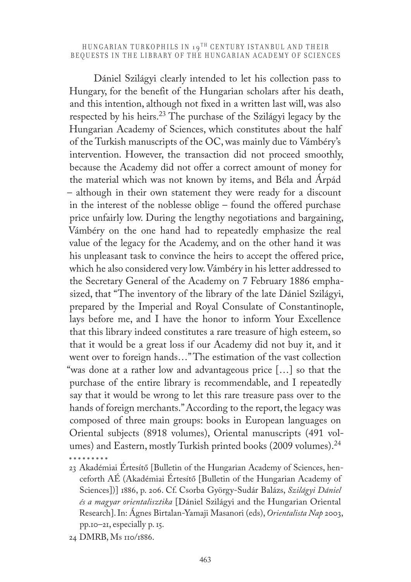Dániel Szilágyi clearly intended to let his collection pass to Hungary, for the benefit of the Hungarian scholars after his death, and this intention, although not fixed in a written last will, was also respected by his heirs.23 The purchase of the Szilágyi legacy by the Hungarian Academy of Sciences, which constitutes about the half of the Turkish manuscripts of the OC, was mainly due to Vámbéry's intervention. However, the transaction did not proceed smoothly, because the Academy did not offer a correct amount of money for the material which was not known by items, and Béla and Árpád – although in their own statement they were ready for a discount in the interest of the noblesse oblige – found the offered purchase price unfairly low. During the lengthy negotiations and bargaining, Vámbéry on the one hand had to repeatedly emphasize the real value of the legacy for the Academy, and on the other hand it was his unpleasant task to convince the heirs to accept the offered price, which he also considered very low. Vámbéry in his letter addressed to the Secretary General of the Academy on 7 February 1886 emphasized, that "The inventory of the library of the late Dániel Szilágyi, prepared by the Imperial and Royal Consulate of Constantinople, lays before me, and I have the honor to inform Your Excellence that this library indeed constitutes a rare treasure of high esteem, so that it would be a great loss if our Academy did not buy it, and it went over to foreign hands…" The estimation of the vast collection "was done at a rather low and advantageous price […] so that the purchase of the entire library is recommendable, and I repeatedly say that it would be wrong to let this rare treasure pass over to the hands of foreign merchants." According to the report, the legacy was composed of three main groups: books in European languages on Oriental subjects (8918 volumes), Oriental manuscripts (491 volumes) and Eastern, mostly Turkish printed books (2009 volumes).<sup>24</sup>

23 Akadémiai Értesítő [Bulletin of the Hungarian Academy of Sciences, henceforth AÉ (Akadémiai Értesítő [Bulletin of the Hungarian Academy of Sciences])] 1886, p. 206. Cf. Csorba György-Sudár Balázs, *Szilágyi Dániel és a magyar orientalisztika* [Dániel Szilágyi and the Hungarian Oriental Research]. In: Ágnes Birtalan-Yamaji Masanori (eds), *Orientalista Nap* 2003, pp.10–21, especially p. 15.

24 DMRB, Ms 110/1886.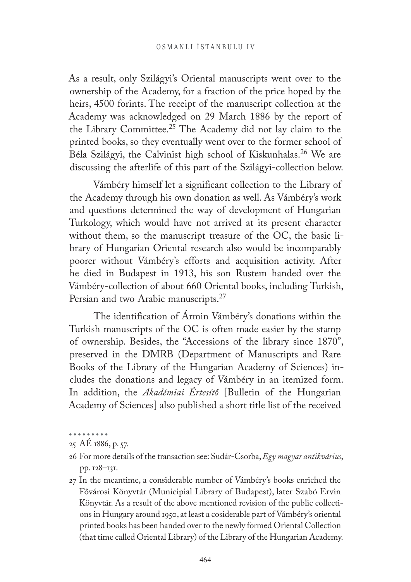As a result, only Szilágyi's Oriental manuscripts went over to the ownership of the Academy, for a fraction of the price hoped by the heirs, 4500 forints. The receipt of the manuscript collection at the Academy was acknowledged on 29 March 1886 by the report of the Library Committee.25 The Academy did not lay claim to the printed books, so they eventually went over to the former school of Béla Szilágyi, the Calvinist high school of Kiskunhalas.26 We are discussing the afterlife of this part of the Szilágyi-collection below.

Vámbéry himself let a significant collection to the Library of the Academy through his own donation as well. As Vámbéry's work and questions determined the way of development of Hungarian Turkology, which would have not arrived at its present character without them, so the manuscript treasure of the OC, the basic library of Hungarian Oriental research also would be incomparably poorer without Vámbéry's efforts and acquisition activity. After he died in Budapest in 1913, his son Rustem handed over the Vámbéry-collection of about 660 Oriental books, including Turkish, Persian and two Arabic manuscripts.<sup>27</sup>

The identification of Ármin Vámbéry's donations within the Turkish manuscripts of the OC is often made easier by the stamp of ownership. Besides, the "Accessions of the library since 1870", preserved in the DMRB (Department of Manuscripts and Rare Books of the Library of the Hungarian Academy of Sciences) includes the donations and legacy of Vámbéry in an itemized form. In addition, the *Akadémiai Értesítő* [Bulletin of the Hungarian Academy of Sciences] also published a short title list of the received

27 In the meantime, a considerable number of Vámbéry's books enriched the Fővárosi Könyvtár (Municipial Library of Budapest), later Szabó Ervin Könyvtár. As a result of the above mentioned revision of the public collections in Hungary around 1950, at least a cosiderable part of Vámbéry's oriental printed books has been handed over to the newly formed Oriental Collection (that time called Oriental Library) of the Library of the Hungarian Academy.

<sup>. . . . . . . . .</sup> 

<sup>25</sup> AÉ 1886, p. 57.

<sup>26</sup> For more details of the transaction see: Sudár-Csorba, *Egy magyar antikvárius*, pp. 128–131.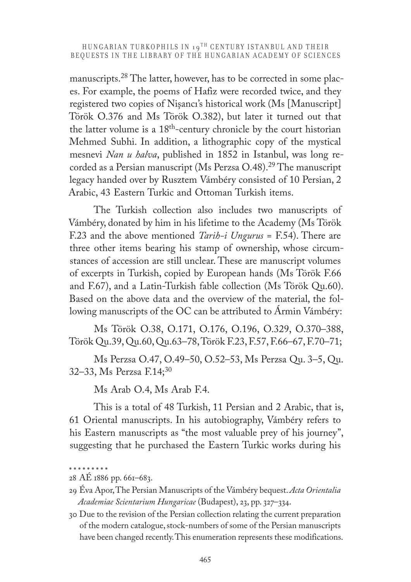manuscripts.<sup>28</sup> The latter, however, has to be corrected in some places. For example, the poems of Hafiz were recorded twice, and they registered two copies of Nişancı's historical work (Ms [Manuscript] Török O.376 and Ms Török O.382), but later it turned out that the latter volume is a 18th-century chronicle by the court historian Mehmed Subhi. In addition, a lithographic copy of the mystical mesnevi *Nan u halva*, published in 1852 in Istanbul, was long recorded as a Persian manuscript (Ms Perzsa O.48).<sup>29</sup> The manuscript legacy handed over by Rusztem Vámbéry consisted of 10 Persian, 2 Arabic, 43 Eastern Turkic and Ottoman Turkish items.

The Turkish collection also includes two manuscripts of Vámbéry, donated by him in his lifetime to the Academy (Ms Török F.23 and the above mentioned *Tarih-i Ungurus* = F.54). There are three other items bearing his stamp of ownership, whose circumstances of accession are still unclear. These are manuscript volumes of excerpts in Turkish, copied by European hands (Ms Török F.66 and F.67), and a Latin-Turkish fable collection (Ms Török Qu.60). Based on the above data and the overview of the material, the following manuscripts of the OC can be attributed to Ármin Vámbéry:

Ms Török O.38, O.171, O.176, O.196, O.329, O.370–388, Török Qu.39, Qu.60, Qu.63–78, Török F.23, F.57, F.66–67, F.70–71;

Ms Perzsa O.47, O.49–50, O.52–53, Ms Perzsa Qu. 3–5, Qu. 32–33, Ms Perzsa  $F.14$ ;<sup>30</sup>

Ms Arab O.4, Ms Arab F.4.

This is a total of 48 Turkish, 11 Persian and 2 Arabic, that is, 61 Oriental manuscripts. In his autobiography, Vámbéry refers to his Eastern manuscripts as "the most valuable prey of his journey", suggesting that he purchased the Eastern Turkic works during his

<sup>28</sup> AÉ 1886 pp. 661–683.

<sup>29</sup> Éva Apor, The Persian Manuscripts of the Vámbéry bequest. *Acta Orientalia Academiae Scientarium Hungaricae* (Budapest), 23, pp. 327–334.

<sup>30</sup> Due to the revision of the Persian collection relating the current preparation of the modern catalogue, stock-numbers of some of the Persian manuscripts have been changed recently. This enumeration represents these modifications.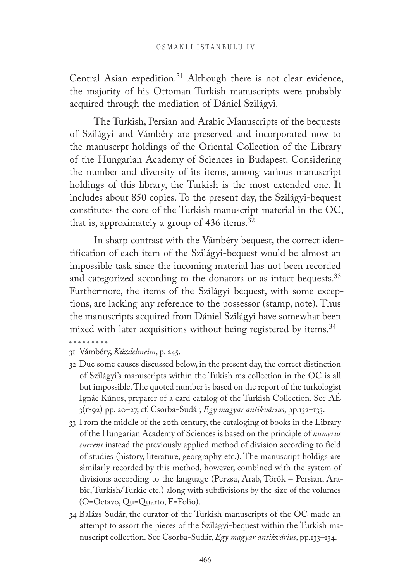Central Asian expedition.<sup>31</sup> Although there is not clear evidence, the majority of his Ottoman Turkish manuscripts were probably acquired through the mediation of Dániel Szilágyi.

The Turkish, Persian and Arabic Manuscripts of the bequests of Szilágyi and Vámbéry are preserved and incorporated now to the manuscrpt holdings of the Oriental Collection of the Library of the Hungarian Academy of Sciences in Budapest. Considering the number and diversity of its items, among various manuscript holdings of this library, the Turkish is the most extended one. It includes about 850 copies. To the present day, the Szilágyi-bequest constitutes the core of the Turkish manuscript material in the OC, that is, approximately a group of 436 items.<sup>32</sup>

In sharp contrast with the Vámbéry bequest, the correct identification of each item of the Szilágyi-bequest would be almost an impossible task since the incoming material has not been recorded and categorized according to the donators or as intact bequests.<sup>33</sup> Furthermore, the items of the Szilágyi bequest, with some exceptions, are lacking any reference to the possessor (stamp, note). Thus the manuscripts acquired from Dániel Szilágyi have somewhat been mixed with later acquisitions without being registered by items.<sup>34</sup>

- 31 Vámbéry, *Küzdelmeim*, p. 245.
- 32 Due some causes discussed below, in the present day, the correct distinction of Szilágyi's manuscripts within the Tukish ms collection in the OC is all but impossible. The quoted number is based on the report of the turkologist Ignác Kúnos, preparer of a card catalog of the Turkish Collection. See AÉ 3(1892) pp. 20–27, cf. Csorba-Sudár, *Egy magyar antikvárius*, pp.132–133.
- 33 From the middle of the 20th century, the cataloging of books in the Library of the Hungarian Academy of Sciences is based on the principle of *numerus currens* instead the previously applied method of division according to field of studies (history, literature, georgraphy etc.). The manuscript holdigs are similarly recorded by this method, however, combined with the system of divisions according to the language (Perzsa, Arab, Török – Persian, Arabic, Turkish/Turkic etc.) along with subdivisions by the size of the volumes (O=Octavo, Qu=Quarto, F=Folio).
- 34 Balázs Sudár, the curator of the Turkish manuscripts of the OC made an attempt to assort the pieces of the Szilágyi-bequest within the Turkish manuscript collection. See Csorba-Sudár, *Egy magyar antikvárius*, pp.133–134.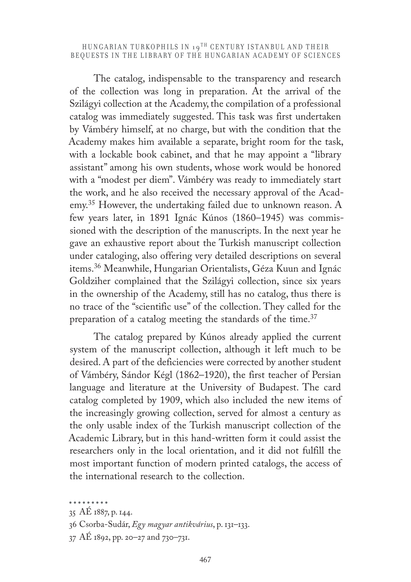The catalog, indispensable to the transparency and research of the collection was long in preparation. At the arrival of the Szilágyi collection at the Academy, the compilation of a professional catalog was immediately suggested. This task was first undertaken by Vámbéry himself, at no charge, but with the condition that the Academy makes him available a separate, bright room for the task, with a lockable book cabinet, and that he may appoint a "library" assistant" among his own students, whose work would be honored with a "modest per diem". Vámbéry was ready to immediately start the work, and he also received the necessary approval of the Academy.<sup>35</sup> However, the undertaking failed due to unknown reason. A few years later, in 1891 Ignác Kúnos (1860–1945) was commissioned with the description of the manuscripts. In the next year he gave an exhaustive report about the Turkish manuscript collection under cataloging, also offering very detailed descriptions on several items.36 Meanwhile, Hungarian Orientalists, Géza Kuun and Ignác Goldziher complained that the Szilágyi collection, since six years in the ownership of the Academy, still has no catalog, thus there is no trace of the "scientific use" of the collection. They called for the preparation of a catalog meeting the standards of the time.<sup>37</sup>

The catalog prepared by Kúnos already applied the current system of the manuscript collection, although it left much to be desired. A part of the deficiencies were corrected by another student of Vámbéry, Sándor Kégl (1862–1920), the first teacher of Persian language and literature at the University of Budapest. The card catalog completed by 1909, which also included the new items of the increasingly growing collection, served for almost a century as the only usable index of the Turkish manuscript collection of the Academic Library, but in this hand-written form it could assist the researchers only in the local orientation, and it did not fulfill the most important function of modern printed catalogs, the access of the international research to the collection.

<sup>. . . . . . . . .</sup> 

<sup>35</sup> AÉ 1887, p. 144.

<sup>36</sup> Csorba-Sudár, *Egy magyar antikvárius*, p. 131–133.

<sup>37</sup> AÉ 1892, pp. 20–27 and 730–731.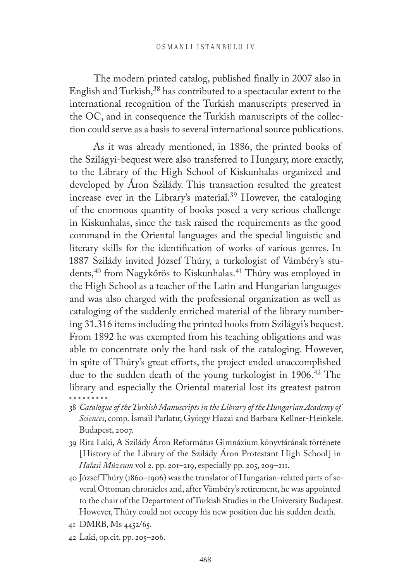The modern printed catalog, published finally in 2007 also in English and Turkish,38 has contributed to a spectacular extent to the international recognition of the Turkish manuscripts preserved in the OC, and in consequence the Turkish manuscripts of the collection could serve as a basis to several international source publications.

As it was already mentioned, in 1886, the printed books of the Szilágyi-bequest were also transferred to Hungary, more exactly, to the Library of the High School of Kiskunhalas organized and developed by Áron Szilády. This transaction resulted the greatest increase ever in the Library's material.39 However, the cataloging of the enormous quantity of books posed a very serious challenge in Kiskunhalas, since the task raised the requirements as the good command in the Oriental languages and the special linguistic and literary skills for the identification of works of various genres. In 1887 Szilády invited József Thúry, a turkologist of Vámbéry's students,<sup>40</sup> from Nagykőrös to Kiskunhalas.<sup>41</sup> Thúry was employed in the High School as a teacher of the Latin and Hungarian languages and was also charged with the professional organization as well as cataloging of the suddenly enriched material of the library numbering 31.316 items including the printed books from Szilágyi's bequest. From 1892 he was exempted from his teaching obligations and was able to concentrate only the hard task of the cataloging. However, in spite of Thúry's great efforts, the project ended unaccomplished due to the sudden death of the young turkologist in 1906.<sup>42</sup> The library and especially the Oriental material lost its greatest patron

- 38 *Catalogue of the Turkish Manuscripts in the Library of the Hungarian Academy of Sciences*, comp. İsmail Parlatır, György Hazai and Barbara Kellner-Heinkele. Budapest, 2007.
- 39 Rita Laki, A Szilády Áron Református Gimnázium könyvtárának története [History of the Library of the Szilády Áron Protestant High School] in *Halasi Múzeum* vol 2. pp. 201–219, especially pp. 205, 209–211.
- 40 József Thúry (1860–1906) was the translator of Hungarian-related parts of several Ottoman chronicles and, after Vámbéry's retirement, he was appointed to the chair of the Department of Turkish Studies in the University Budapest. However, Thúry could not occupy his new position due his sudden death.
- 41 DMRB, Ms 4452/65.
- 42 Laki, op.cit. pp. 205–206.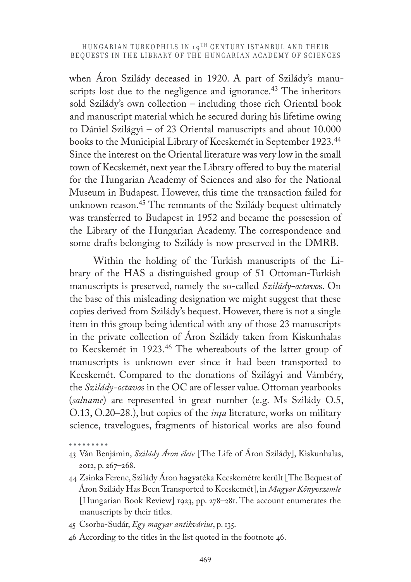when Aron Szilády deceased in 1920. A part of Szilády's manuscripts lost due to the negligence and ignorance.<sup>43</sup> The inheritors sold Szilády's own collection – including those rich Oriental book and manuscript material which he secured during his lifetime owing to Dániel Szilágyi – of 23 Oriental manuscripts and about 10.000 books to the Municipial Library of Kecskemét in September 1923.<sup>44</sup> Since the interest on the Oriental literature was very low in the small town of Kecskemét, next year the Library offered to buy the material for the Hungarian Academy of Sciences and also for the National Museum in Budapest. However, this time the transaction failed for unknown reason.45 The remnants of the Szilády bequest ultimately was transferred to Budapest in 1952 and became the possession of the Library of the Hungarian Academy. The correspondence and some drafts belonging to Szilády is now preserved in the DMRB.

Within the holding of the Turkish manuscripts of the Library of the HAS a distinguished group of 51 Ottoman-Turkish manuscripts is preserved, namely the so-called *Szilády-octavo*s. On the base of this misleading designation we might suggest that these copies derived from Szilády's bequest. However, there is not a single item in this group being identical with any of those 23 manuscripts in the private collection of Áron Szilády taken from Kiskunhalas to Kecskemét in 1923.46 The whereabouts of the latter group of manuscripts is unknown ever since it had been transported to Kecskemét. Compared to the donations of Szilágyi and Vámbéry, the *Szilády-octavo*s in the OC are of lesser value. Ottoman yearbooks (*salname*) are represented in great number (e.g. Ms Szilády O.5, O.13, O.20–28.), but copies of the *inşa* literature, works on military science, travelogues, fragments of historical works are also found

- 44 Zsinka Ferenc, Szilády Áron hagyatéka Kecskemétre került [The Bequest of Áron Szilády Has Been Transported to Kecskemét], in *Magyar Könyvszemle* [Hungarian Book Review] 1923, pp. 278–281. The account enumerates the manuscripts by their titles.
- 45 Csorba-Sudár, *Egy magyar antikvárius*, p. 135.
- 46 According to the titles in the list quoted in the footnote 46.

<sup>43</sup> Ván Benjámin, *Szilády Áron élete* [The Life of Áron Szilády], Kiskunhalas, 2012, p. 267–268.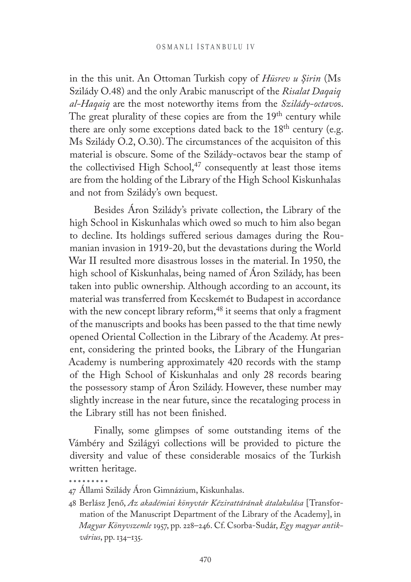in the this unit. An Ottoman Turkish copy of *Hüsrev u Şirin* (Ms Szilády O.48) and the only Arabic manuscript of the *Risalat Daqaiq al-Haqaiq* are the most noteworthy items from the *Szilády-octavo*s. The great plurality of these copies are from the 19<sup>th</sup> century while there are only some exceptions dated back to the 18<sup>th</sup> century (e.g. Ms Szilády O.2, O.30). The circumstances of the acquisiton of this material is obscure. Some of the Szilády-octavos bear the stamp of the collectivised High School,<sup>47</sup> consequently at least those items are from the holding of the Library of the High School Kiskunhalas and not from Szilády's own bequest.

Besides Áron Szilády's private collection, the Library of the high School in Kiskunhalas which owed so much to him also began to decline. Its holdings suffered serious damages during the Roumanian invasion in 1919-20, but the devastations during the World War II resulted more disastrous losses in the material. In 1950, the high school of Kiskunhalas, being named of Áron Szilády, has been taken into public ownership. Although according to an account, its material was transferred from Kecskemét to Budapest in accordance with the new concept library reform,<sup>48</sup> it seems that only a fragment of the manuscripts and books has been passed to the that time newly opened Oriental Collection in the Library of the Academy. At present, considering the printed books, the Library of the Hungarian Academy is numbering approximately 420 records with the stamp of the High School of Kiskunhalas and only 28 records bearing the possessory stamp of Áron Szilády. However, these number may slightly increase in the near future, since the recataloging process in the Library still has not been finished.

Finally, some glimpses of some outstanding items of the Vámbéry and Szilágyi collections will be provided to picture the diversity and value of these considerable mosaics of the Turkish written heritage.

<sup>47</sup> Állami Szilády Áron Gimnázium, Kiskunhalas.

<sup>48</sup> Berlász Jenő, *Az akadémiai könyvtár Kézirattárának átalakulása* [Transformation of the Manuscript Department of the Library of the Academy], in *Magyar Könyvszemle* 1957, pp. 228–246. Cf. Csorba-Sudár, *Egy magyar antikvárius*, pp. 134–135.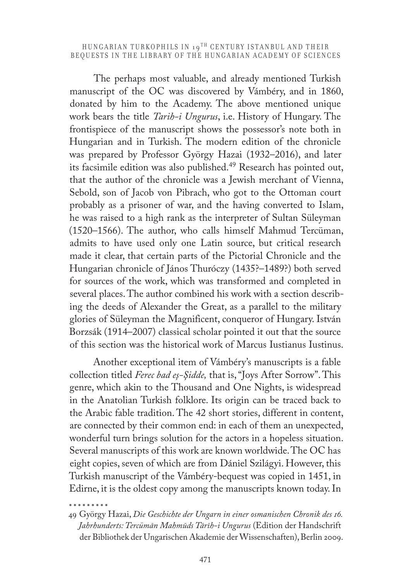The perhaps most valuable, and already mentioned Turkish manuscript of the OC was discovered by Vámbéry, and in 1860, donated by him to the Academy. The above mentioned unique work bears the title *Tarih-i Ungurus*, i.e. History of Hungary. The frontispiece of the manuscript shows the possessor's note both in Hungarian and in Turkish. The modern edition of the chronicle was prepared by Professor György Hazai (1932–2016), and later its facsimile edition was also published.<sup>49</sup> Research has pointed out, that the author of the chronicle was a Jewish merchant of Vienna, Sebold, son of Jacob von Pibrach, who got to the Ottoman court probably as a prisoner of war, and the having converted to Islam, he was raised to a high rank as the interpreter of Sultan Süleyman (1520–1566). The author, who calls himself Mahmud Tercüman, admits to have used only one Latin source, but critical research made it clear, that certain parts of the Pictorial Chronicle and the Hungarian chronicle of János Thuróczy (1435?–1489?) both served for sources of the work, which was transformed and completed in several places. The author combined his work with a section describing the deeds of Alexander the Great, as a parallel to the military glories of Süleyman the Magnificent, conqueror of Hungary. István Borzsák (1914–2007) classical scholar pointed it out that the source of this section was the historical work of Marcus Iustianus Iustinus.

Another exceptional item of Vámbéry's manuscripts is a fable collection titled *Ferec bad eş-Şidde,* that is, "Joys After Sorrow". This genre, which akin to the Thousand and One Nights, is widespread in the Anatolian Turkish folklore. Its origin can be traced back to the Arabic fable tradition. The 42 short stories, different in content, are connected by their common end: in each of them an unexpected, wonderful turn brings solution for the actors in a hopeless situation. Several manuscripts of this work are known worldwide. The OC has eight copies, seven of which are from Dániel Szilágyi. However, this Turkish manuscript of the Vámbéry-bequest was copied in 1451, in Edirne, it is the oldest copy among the manuscripts known today. In

<sup>49</sup> György Hazai, *Die Geschichte der Ungarn in einer osmanischen Chronik des 16. Jahrhunderts: Tercümān Mahmūds Tārīh-i Ungurus* (Edition der Handschrift der Bibliothek der Ungarischen Akademie der Wissenschaften), Berlin 2009.